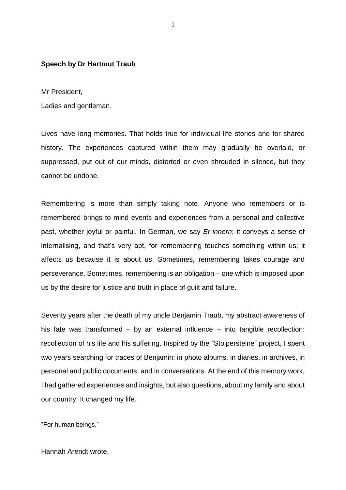## **Speech by Dr Hartmut Traub**

Mr President,

Ladies and gentleman,

Lives have long memories. That holds true for individual life stories and for shared history. The experiences captured within them may gradually be overlaid, or suppressed, put out of our minds, distorted or even shrouded in silence, but they cannot be undone.

Remembering is more than simply taking note. Anyone who remembers or is remembered brings to mind events and experiences from a personal and collective past, whether joyful or painful. In German, we say *Er-innern*; it conveys a sense of internalising, and that's very apt, for remembering touches something within us; it affects us because it is about us. Sometimes, remembering takes courage and perseverance. Sometimes, remembering is an obligation – one which is imposed upon us by the desire for justice and truth in place of guilt and failure.

Seventy years after the death of my uncle Benjamin Traub, my abstract awareness of his fate was transformed – by an external influence – into tangible recollection: recollection of his life and his suffering. Inspired by the "Stolpersteine" project, I spent two years searching for traces of Benjamin: in photo albums, in diaries, in archives, in personal and public documents, and in conversations. At the end of this memory work, I had gathered experiences and insights, but also questions, about my family and about our country. It changed my life.

"For human beings,"

Hannah Arendt wrote,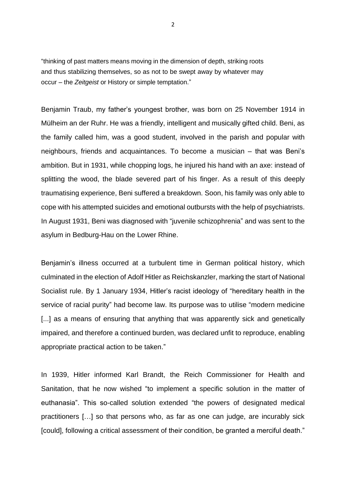"thinking of past matters means moving in the dimension of depth, striking roots and thus stabilizing themselves, so as not to be swept away by whatever may occur – the *Zeitgeist* or History or simple temptation."

Benjamin Traub, my father's youngest brother, was born on 25 November 1914 in Mülheim an der Ruhr. He was a friendly, intelligent and musically gifted child. Beni, as the family called him, was a good student, involved in the parish and popular with neighbours, friends and acquaintances. To become a musician – that was Beni's ambition. But in 1931, while chopping logs, he injured his hand with an axe: instead of splitting the wood, the blade severed part of his finger. As a result of this deeply traumatising experience, Beni suffered a breakdown. Soon, his family was only able to cope with his attempted suicides and emotional outbursts with the help of psychiatrists. In August 1931, Beni was diagnosed with "juvenile schizophrenia" and was sent to the asylum in Bedburg-Hau on the Lower Rhine.

Benjamin's illness occurred at a turbulent time in German political history, which culminated in the election of Adolf Hitler as Reichskanzler, marking the start of National Socialist rule. By 1 January 1934, Hitler's racist ideology of "hereditary health in the service of racial purity" had become law. Its purpose was to utilise "modern medicine [...] as a means of ensuring that anything that was apparently sick and genetically impaired, and therefore a continued burden, was declared unfit to reproduce, enabling appropriate practical action to be taken."

In 1939, Hitler informed Karl Brandt, the Reich Commissioner for Health and Sanitation, that he now wished "to implement a specific solution in the matter of euthanasia". This so-called solution extended "the powers of designated medical practitioners […] so that persons who, as far as one can judge, are incurably sick [could], following a critical assessment of their condition, be granted a merciful death."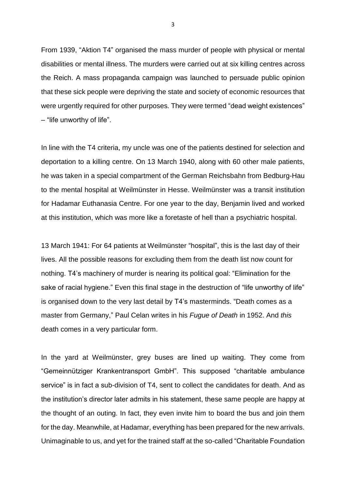From 1939, "Aktion T4" organised the mass murder of people with physical or mental disabilities or mental illness. The murders were carried out at six killing centres across the Reich. A mass propaganda campaign was launched to persuade public opinion that these sick people were depriving the state and society of economic resources that were urgently required for other purposes. They were termed "dead weight existences" – "life unworthy of life".

In line with the T4 criteria, my uncle was one of the patients destined for selection and deportation to a killing centre. On 13 March 1940, along with 60 other male patients, he was taken in a special compartment of the German Reichsbahn from Bedburg-Hau to the mental hospital at Weilmünster in Hesse. Weilmünster was a transit institution for Hadamar Euthanasia Centre. For one year to the day, Benjamin lived and worked at this institution, which was more like a foretaste of hell than a psychiatric hospital.

13 March 1941: For 64 patients at Weilmünster "hospital", this is the last day of their lives. All the possible reasons for excluding them from the death list now count for nothing. T4's machinery of murder is nearing its political goal: "Elimination for the sake of racial hygiene." Even this final stage in the destruction of "life unworthy of life" is organised down to the very last detail by T4's masterminds. "Death comes as a master from Germany," Paul Celan writes in his *Fugue of Death* in 1952. And *this*  death comes in a very particular form.

In the yard at Weilmünster, grey buses are lined up waiting. They come from "Gemeinnütziger Krankentransport GmbH". This supposed "charitable ambulance service" is in fact a sub-division of T4, sent to collect the candidates for death. And as the institution's director later admits in his statement, these same people are happy at the thought of an outing. In fact, they even invite him to board the bus and join them for the day. Meanwhile, at Hadamar, everything has been prepared for the new arrivals. Unimaginable to us, and yet for the trained staff at the so-called "Charitable Foundation

3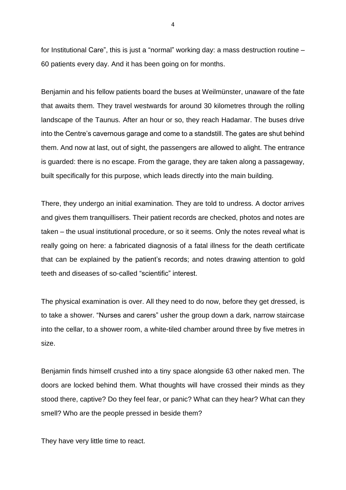for Institutional Care", this is just a "normal" working day: a mass destruction routine – 60 patients every day. And it has been going on for months.

Benjamin and his fellow patients board the buses at Weilmünster, unaware of the fate that awaits them. They travel westwards for around 30 kilometres through the rolling landscape of the Taunus. After an hour or so, they reach Hadamar. The buses drive into the Centre's cavernous garage and come to a standstill. The gates are shut behind them. And now at last, out of sight, the passengers are allowed to alight. The entrance is guarded: there is no escape. From the garage, they are taken along a passageway, built specifically for this purpose, which leads directly into the main building.

There, they undergo an initial examination. They are told to undress. A doctor arrives and gives them tranquillisers. Their patient records are checked, photos and notes are taken – the usual institutional procedure, or so it seems. Only the notes reveal what is really going on here: a fabricated diagnosis of a fatal illness for the death certificate that can be explained by the patient's records; and notes drawing attention to gold teeth and diseases of so-called "scientific" interest.

The physical examination is over. All they need to do now, before they get dressed, is to take a shower. "Nurses and carers" usher the group down a dark, narrow staircase into the cellar, to a shower room, a white-tiled chamber around three by five metres in size.

Benjamin finds himself crushed into a tiny space alongside 63 other naked men. The doors are locked behind them. What thoughts will have crossed their minds as they stood there, captive? Do they feel fear, or panic? What can they hear? What can they smell? Who are the people pressed in beside them?

They have very little time to react.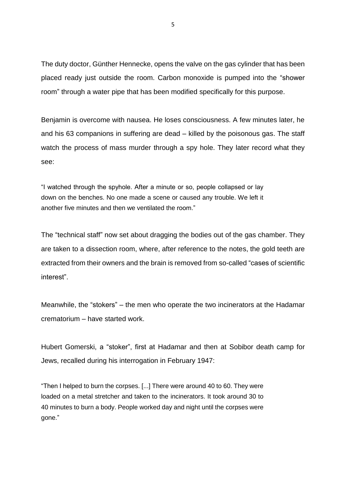The duty doctor, Günther Hennecke, opens the valve on the gas cylinder that has been placed ready just outside the room. Carbon monoxide is pumped into the "shower room" through a water pipe that has been modified specifically for this purpose.

Benjamin is overcome with nausea. He loses consciousness. A few minutes later, he and his 63 companions in suffering are dead – killed by the poisonous gas. The staff watch the process of mass murder through a spy hole. They later record what they see:

"I watched through the spyhole. After a minute or so, people collapsed or lay down on the benches. No one made a scene or caused any trouble. We left it another five minutes and then we ventilated the room."

The "technical staff" now set about dragging the bodies out of the gas chamber. They are taken to a dissection room, where, after reference to the notes, the gold teeth are extracted from their owners and the brain is removed from so-called "cases of scientific interest".

Meanwhile, the "stokers" – the men who operate the two incinerators at the Hadamar crematorium – have started work.

Hubert Gomerski, a "stoker", first at Hadamar and then at Sobibor death camp for Jews, recalled during his interrogation in February 1947:

"Then I helped to burn the corpses. [...] There were around 40 to 60. They were loaded on a metal stretcher and taken to the incinerators. It took around 30 to 40 minutes to burn a body. People worked day and night until the corpses were gone."